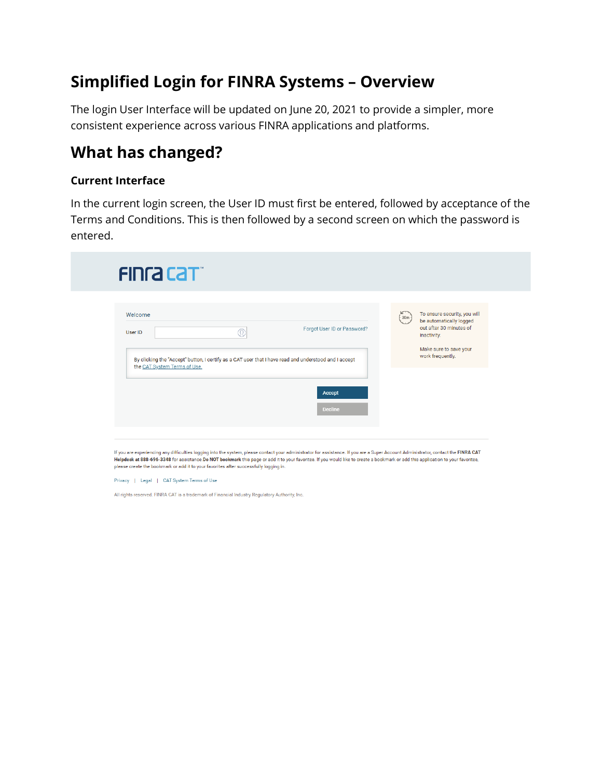# **Simplified Login for FINRA Systems – Overview**

The login User Interface will be updated on June 20, 2021 to provide a simpler, more consistent experience across various FINRA applications and platforms.

## **What has changed?**

#### **Current Interface**

In the current login screen, the User ID must first be entered, followed by acceptance of the Terms and Conditions. This is then followed by a second screen on which the password is entered.

|                                                                                                                                       |   |                             |          | To ensure security, you will                                      |
|---------------------------------------------------------------------------------------------------------------------------------------|---|-----------------------------|----------|-------------------------------------------------------------------|
| Welcome<br>User ID                                                                                                                    | Œ | Forgot User ID or Password? | $(-30m)$ | be automatically logged<br>out after 30 minutes of<br>inactivity. |
| By clicking the "Accept" button, I certify as a CAT user that I have read and understood and I accept<br>the CAT System Terms of Use. |   |                             |          | Make sure to save your<br>work frequently.                        |
|                                                                                                                                       |   |                             |          |                                                                   |
|                                                                                                                                       |   | Accept<br><b>Decline</b>    |          |                                                                   |

Helpdesk at 888-696-3348 for assistance Do NOT bookmark this page or add it to your favorites. If you would like to create a bookmark or add this application to your favorites, please create the bookmark or add it to your favorites after successfully logging in

Privacy | Legal | CAT System Terms of Use

All rights reserved. FINRA CAT is a trademark of Financial Industry Regulatory Authority, Inc.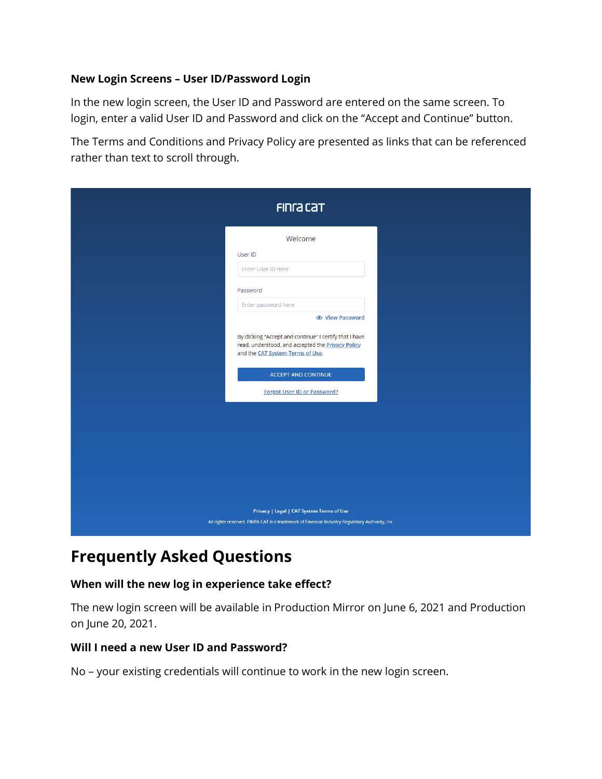#### **New Login Screens – User ID/Password Login**

In the new login screen, the User ID and Password are entered on the same screen. To login, enter a valid User ID and Password and click on the "Accept and Continue" button.

The Terms and Conditions and Privacy Policy are presented as links that can be referenced rather than text to scroll through.

| <b>FING CAT</b>                                                                                                                                                                                                                                                                                                               |  |  |  |  |
|-------------------------------------------------------------------------------------------------------------------------------------------------------------------------------------------------------------------------------------------------------------------------------------------------------------------------------|--|--|--|--|
| Welcome<br>User ID<br>Enter User ID here<br>Password<br>Enter password here<br><b>◎</b> View Password<br>By clicking "Accept and continue" I certify that I have<br>read, understood, and accepted the Privacy Policy<br>and the CAT System Terms of Use.<br><b>ACCEPT AND CONTINUE</b><br><b>Forgot User ID or Password?</b> |  |  |  |  |
| Privacy   Legal   CAT System Terms of Use<br>All rights reserved. FINRA CAT is a trademark of Financial Industry Regulatory Authority, Inc.                                                                                                                                                                                   |  |  |  |  |

# **Frequently Asked Questions**

### **When will the new log in experience take effect?**

The new login screen will be available in Production Mirror on June 6, 2021 and Production on June 20, 2021.

### **Will I need a new User ID and Password?**

No – your existing credentials will continue to work in the new login screen.